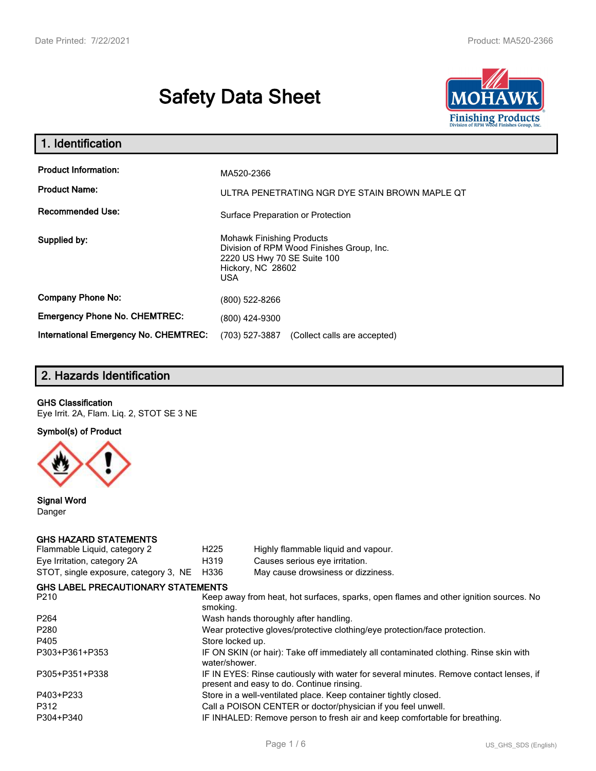# **Safety Data Sheet**



| 1. Identification                            |                                                                                                                                                 |
|----------------------------------------------|-------------------------------------------------------------------------------------------------------------------------------------------------|
| <b>Product Information:</b>                  | MA520-2366                                                                                                                                      |
| <b>Product Name:</b>                         | ULTRA PENETRATING NGR DYE STAIN BROWN MAPLE QT                                                                                                  |
| <b>Recommended Use:</b>                      | Surface Preparation or Protection                                                                                                               |
| Supplied by:                                 | <b>Mohawk Finishing Products</b><br>Division of RPM Wood Finishes Group, Inc.<br>2220 US Hwy 70 SE Suite 100<br>Hickory, NC 28602<br><b>USA</b> |
| <b>Company Phone No:</b>                     | (800) 522-8266                                                                                                                                  |
| <b>Emergency Phone No. CHEMTREC:</b>         | (800) 424-9300                                                                                                                                  |
| <b>International Emergency No. CHEMTREC:</b> | (703) 527-3887<br>(Collect calls are accepted)                                                                                                  |

# **2. Hazards Identification**

#### **GHS Classification**

Eye Irrit. 2A, Flam. Liq. 2, STOT SE 3 NE

**Symbol(s) of Product**



**Signal Word** Danger

#### **GHS HAZARD STATEMENTS**

| H <sub>225</sub>                                                                                                                    | Highly flammable liquid and vapour.                                                   |  |  |
|-------------------------------------------------------------------------------------------------------------------------------------|---------------------------------------------------------------------------------------|--|--|
| H319                                                                                                                                | Causes serious eye irritation.                                                        |  |  |
| H336                                                                                                                                | May cause drowsiness or dizziness.                                                    |  |  |
|                                                                                                                                     |                                                                                       |  |  |
| smoking.                                                                                                                            | Keep away from heat, hot surfaces, sparks, open flames and other ignition sources. No |  |  |
| Wash hands thoroughly after handling.                                                                                               |                                                                                       |  |  |
| Wear protective gloves/protective clothing/eye protection/face protection.                                                          |                                                                                       |  |  |
| Store locked up.                                                                                                                    |                                                                                       |  |  |
| IF ON SKIN (or hair): Take off immediately all contaminated clothing. Rinse skin with<br>water/shower.                              |                                                                                       |  |  |
| IF IN EYES: Rinse cautiously with water for several minutes. Remove contact lenses, if<br>present and easy to do. Continue rinsing. |                                                                                       |  |  |
| Store in a well-ventilated place. Keep container tightly closed.                                                                    |                                                                                       |  |  |
| Call a POISON CENTER or doctor/physician if you feel unwell.                                                                        |                                                                                       |  |  |
| IF INHALED: Remove person to fresh air and keep comfortable for breathing.                                                          |                                                                                       |  |  |
|                                                                                                                                     | <b>GHS LABEL PRECAUTIONARY STATEMENTS</b>                                             |  |  |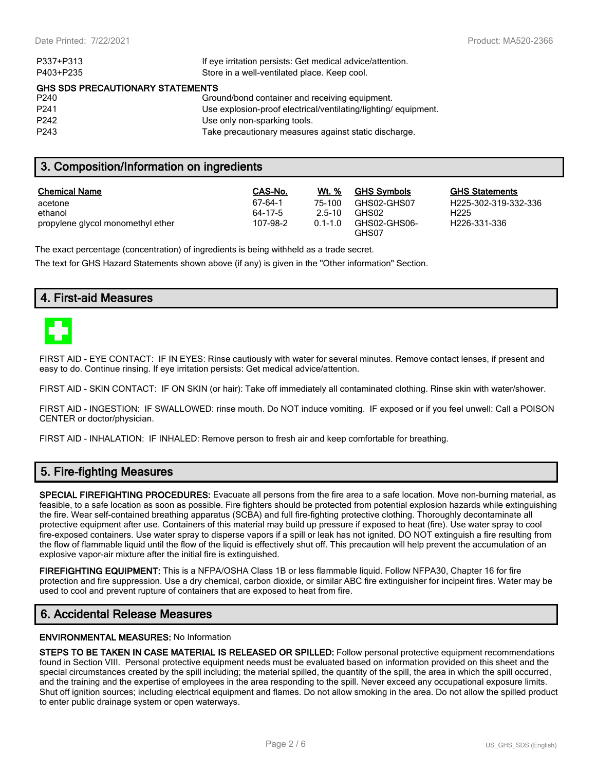| P337+P313                               | If eye irritation persists: Get medical advice/attention.      |  |  |  |
|-----------------------------------------|----------------------------------------------------------------|--|--|--|
| P403+P235                               | Store in a well-ventilated place. Keep cool.                   |  |  |  |
| <b>GHS SDS PRECAUTIONARY STATEMENTS</b> |                                                                |  |  |  |
| P <sub>240</sub>                        | Ground/bond container and receiving equipment.                 |  |  |  |
| P <sub>241</sub>                        | Use explosion-proof electrical/ventilating/lighting/equipment. |  |  |  |
| P <sub>242</sub>                        | Use only non-sparking tools.                                   |  |  |  |
| P <sub>243</sub>                        | Take precautionary measures against static discharge.          |  |  |  |

## **3. Composition/Information on ingredients**

| <b>Chemical Name</b>              | CAS-No.  | Wt. %       | <b>GHS Symbols</b>    | GHS  |
|-----------------------------------|----------|-------------|-----------------------|------|
| acetone                           | 67-64-1  | 75-100      | GHS02-GHS07           | H225 |
| ethanol                           | 64-17-5  | $2.5 - 10$  | GHS02                 | H225 |
| propylene glycol monomethyl ether | 107-98-2 | $0.1 - 1.0$ | GHS02-GHS06-<br>GHS07 | H226 |

**GHS Statements** H225-302-319-332-336 H226-331-336

The exact percentage (concentration) of ingredients is being withheld as a trade secret.

The text for GHS Hazard Statements shown above (if any) is given in the "Other information" Section.

## **4. First-aid Measures**



FIRST AID - EYE CONTACT: IF IN EYES: Rinse cautiously with water for several minutes. Remove contact lenses, if present and easy to do. Continue rinsing. If eye irritation persists: Get medical advice/attention.

FIRST AID - SKIN CONTACT: IF ON SKIN (or hair): Take off immediately all contaminated clothing. Rinse skin with water/shower.

FIRST AID - INGESTION: IF SWALLOWED: rinse mouth. Do NOT induce vomiting. IF exposed or if you feel unwell: Call a POISON CENTER or doctor/physician.

FIRST AID - INHALATION: IF INHALED: Remove person to fresh air and keep comfortable for breathing.

## **5. Fire-fighting Measures**

**SPECIAL FIREFIGHTING PROCEDURES:** Evacuate all persons from the fire area to a safe location. Move non-burning material, as feasible, to a safe location as soon as possible. Fire fighters should be protected from potential explosion hazards while extinguishing the fire. Wear self-contained breathing apparatus (SCBA) and full fire-fighting protective clothing. Thoroughly decontaminate all protective equipment after use. Containers of this material may build up pressure if exposed to heat (fire). Use water spray to cool fire-exposed containers. Use water spray to disperse vapors if a spill or leak has not ignited. DO NOT extinguish a fire resulting from the flow of flammable liquid until the flow of the liquid is effectively shut off. This precaution will help prevent the accumulation of an explosive vapor-air mixture after the initial fire is extinguished.

**FIREFIGHTING EQUIPMENT:** This is a NFPA/OSHA Class 1B or less flammable liquid. Follow NFPA30, Chapter 16 for fire protection and fire suppression. Use a dry chemical, carbon dioxide, or similar ABC fire extinguisher for incipeint fires. Water may be used to cool and prevent rupture of containers that are exposed to heat from fire.

## **6. Accidental Release Measures**

#### **ENVIRONMENTAL MEASURES:** No Information

**STEPS TO BE TAKEN IN CASE MATERIAL IS RELEASED OR SPILLED:** Follow personal protective equipment recommendations found in Section VIII. Personal protective equipment needs must be evaluated based on information provided on this sheet and the special circumstances created by the spill including; the material spilled, the quantity of the spill, the area in which the spill occurred, and the training and the expertise of employees in the area responding to the spill. Never exceed any occupational exposure limits. Shut off ignition sources; including electrical equipment and flames. Do not allow smoking in the area. Do not allow the spilled product to enter public drainage system or open waterways.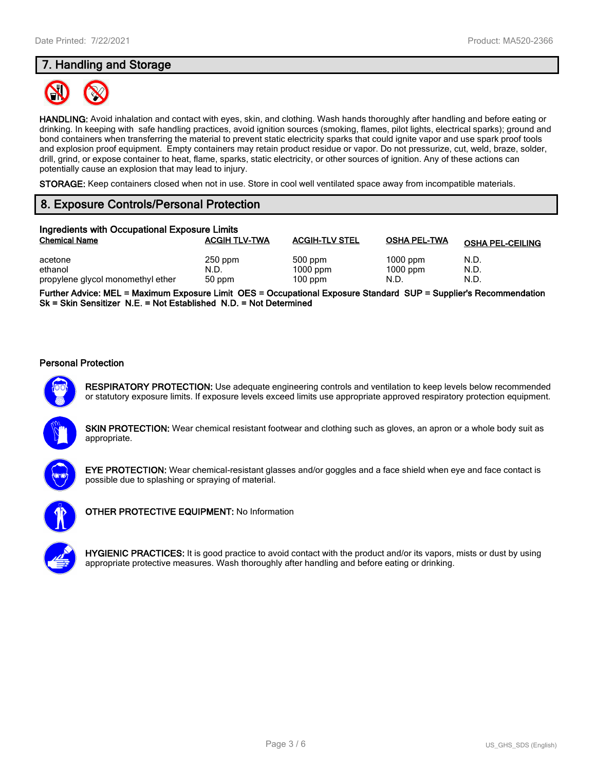## **7. Handling and Storage**



**HANDLING:** Avoid inhalation and contact with eyes, skin, and clothing. Wash hands thoroughly after handling and before eating or drinking. In keeping with safe handling practices, avoid ignition sources (smoking, flames, pilot lights, electrical sparks); ground and bond containers when transferring the material to prevent static electricity sparks that could ignite vapor and use spark proof tools and explosion proof equipment. Empty containers may retain product residue or vapor. Do not pressurize, cut, weld, braze, solder, drill, grind, or expose container to heat, flame, sparks, static electricity, or other sources of ignition. Any of these actions can potentially cause an explosion that may lead to injury.

**STORAGE:** Keep containers closed when not in use. Store in cool well ventilated space away from incompatible materials.

## **8. Exposure Controls/Personal Protection**

| Ingredients with Occupational Exposure Limits |                      |                         |                     |                         |  |
|-----------------------------------------------|----------------------|-------------------------|---------------------|-------------------------|--|
| <b>Chemical Name</b>                          | <b>ACGIH TLV-TWA</b> | <b>ACGIH-TLV STEL</b>   | <b>OSHA PEL-TWA</b> | <b>OSHA PEL-CEILING</b> |  |
| acetone                                       | $250$ ppm            | 500 ppm                 | $1000$ ppm          | N.D.                    |  |
| ethanol<br>propylene glycol monomethyl ether  | N.D.<br>50 ppm       | $1000$ ppm<br>$100$ ppm | $1000$ ppm<br>N.D.  | N.D.<br>N.D.            |  |

**Further Advice: MEL = Maximum Exposure Limit OES = Occupational Exposure Standard SUP = Supplier's Recommendation Sk = Skin Sensitizer N.E. = Not Established N.D. = Not Determined**

#### **Personal Protection**



**RESPIRATORY PROTECTION:** Use adequate engineering controls and ventilation to keep levels below recommended or statutory exposure limits. If exposure levels exceed limits use appropriate approved respiratory protection equipment.





**EYE PROTECTION:** Wear chemical-resistant glasses and/or goggles and a face shield when eye and face contact is possible due to splashing or spraying of material.



**OTHER PROTECTIVE EQUIPMENT:** No Information

**HYGIENIC PRACTICES:** It is good practice to avoid contact with the product and/or its vapors, mists or dust by using appropriate protective measures. Wash thoroughly after handling and before eating or drinking.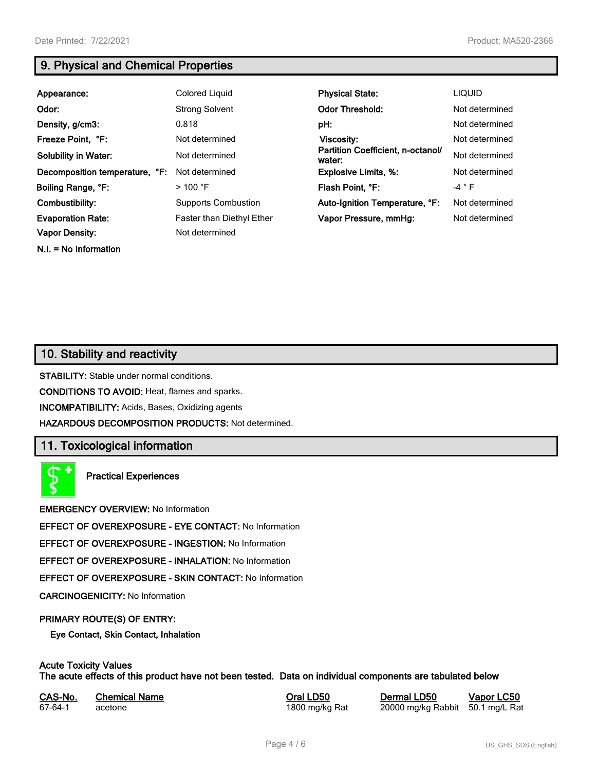**N.I. = No Information**

## **9. Physical and Chemical Properties**

| Appearance:                    | Colored Liquid                   | <b>Physical State:</b>                      | <b>LIQUID</b>  |
|--------------------------------|----------------------------------|---------------------------------------------|----------------|
| Odor:                          | <b>Strong Solvent</b>            | <b>Odor Threshold:</b>                      | Not determined |
| Density, g/cm3:                | 0.818                            | pH:                                         | Not determined |
| Freeze Point, °F:              | Not determined                   | Viscosity:                                  | Not determined |
| <b>Solubility in Water:</b>    | Not determined                   | Partition Coefficient, n-octanol/<br>water: | Not determined |
| Decomposition temperature, °F: | Not determined                   | <b>Explosive Limits, %:</b>                 | Not determined |
| Boiling Range, °F:             | $>$ 100 °F                       | Flash Point, °F:                            | $-4 ° F$       |
| Combustibility:                | <b>Supports Combustion</b>       | Auto-Ignition Temperature, °F:              | Not determined |
| <b>Evaporation Rate:</b>       | <b>Faster than Diethyl Ether</b> | Vapor Pressure, mmHg:                       | Not determined |
| <b>Vapor Density:</b>          | Not determined                   |                                             |                |

## **10. Stability and reactivity**

**STABILITY:** Stable under normal conditions.

**CONDITIONS TO AVOID:** Heat, flames and sparks.

**INCOMPATIBILITY:** Acids, Bases, Oxidizing agents

**HAZARDOUS DECOMPOSITION PRODUCTS:** Not determined.

## **11. Toxicological information**

**Practical Experiences**

**EMERGENCY OVERVIEW:** No Information

**EFFECT OF OVEREXPOSURE - EYE CONTACT:** No Information

**EFFECT OF OVEREXPOSURE - INGESTION:** No Information

**EFFECT OF OVEREXPOSURE - INHALATION:** No Information

**EFFECT OF OVEREXPOSURE - SKIN CONTACT:** No Information

**CARCINOGENICITY:** No Information

#### **PRIMARY ROUTE(S) OF ENTRY:**

**Eye Contact, Skin Contact, Inhalation**

# **Acute Toxicity Values**

**The acute effects of this product have not been tested. Data on individual components are tabulated below**

| CAS-No. | <b>Chemical Name</b> |
|---------|----------------------|
| 67-64-1 | acetone              |

**Casary Chemical Chemical LD50 Chemical LD50 Vapor LC50** 1800 mg/kg Rat 20000 mg/kg Rabbit 50.1 mg/L Rat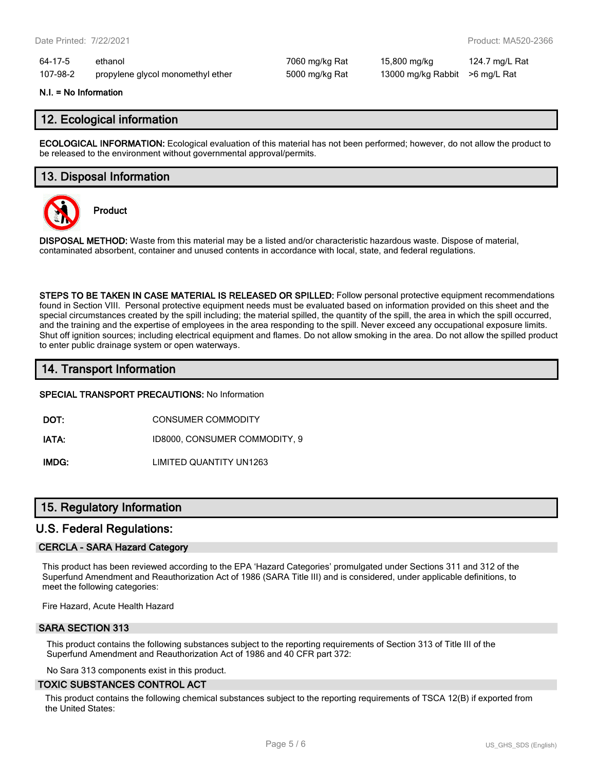64-17-5 ethanol 7060 mg/kg Rat 15,800 mg/kg 124.7 mg/L Rat 107-98-2 propylene glycol monomethyl ether 5000 mg/kg Rat 13000 mg/kg Rabbit >6 mg/L Rat

#### **N.I. = No Information**

## **12. Ecological information**

**ECOLOGICAL INFORMATION:** Ecological evaluation of this material has not been performed; however, do not allow the product to be released to the environment without governmental approval/permits.

## **13. Disposal Information**



**Product**

**DISPOSAL METHOD:** Waste from this material may be a listed and/or characteristic hazardous waste. Dispose of material, contaminated absorbent, container and unused contents in accordance with local, state, and federal regulations.

**STEPS TO BE TAKEN IN CASE MATERIAL IS RELEASED OR SPILLED:** Follow personal protective equipment recommendations found in Section VIII. Personal protective equipment needs must be evaluated based on information provided on this sheet and the special circumstances created by the spill including; the material spilled, the quantity of the spill, the area in which the spill occurred, and the training and the expertise of employees in the area responding to the spill. Never exceed any occupational exposure limits. Shut off ignition sources; including electrical equipment and flames. Do not allow smoking in the area. Do not allow the spilled product to enter public drainage system or open waterways.

## **14. Transport Information**

**SPECIAL TRANSPORT PRECAUTIONS:** No Information

**DOT:** CONSUMER COMMODITY

**IATA:** ID8000, CONSUMER COMMODITY, 9

**IMDG:** LIMITED QUANTITY UN1263

## **15. Regulatory Information**

#### **U.S. Federal Regulations:**

#### **CERCLA - SARA Hazard Category**

This product has been reviewed according to the EPA 'Hazard Categories' promulgated under Sections 311 and 312 of the Superfund Amendment and Reauthorization Act of 1986 (SARA Title III) and is considered, under applicable definitions, to meet the following categories:

Fire Hazard, Acute Health Hazard

#### **SARA SECTION 313**

This product contains the following substances subject to the reporting requirements of Section 313 of Title III of the Superfund Amendment and Reauthorization Act of 1986 and 40 CFR part 372:

No Sara 313 components exist in this product.

#### **TOXIC SUBSTANCES CONTROL ACT**

This product contains the following chemical substances subject to the reporting requirements of TSCA 12(B) if exported from the United States: